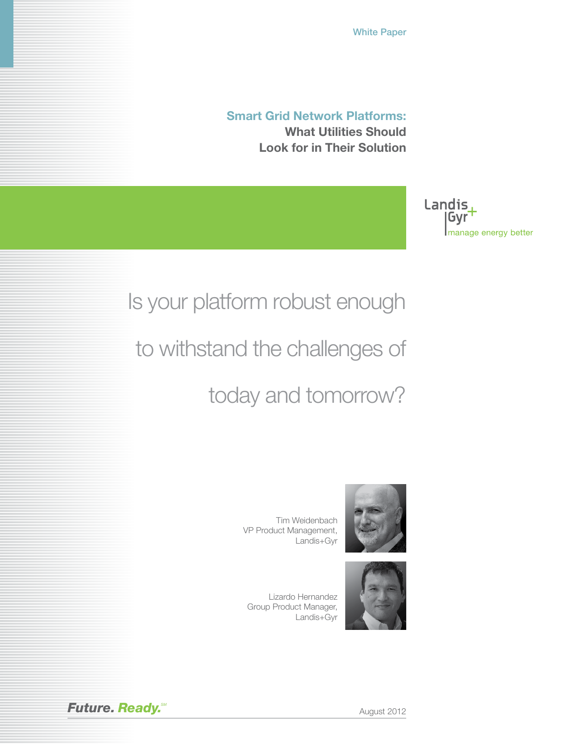White Paper

**Smart Grid Network Platforms: What Utilities Should Look for in Their Solution**

> Gyr manage energy better

Landis,

# Is your platform robust enough

to withstand the challenges of

today and tomorrow?

Tim Weidenbach VP Product Management, Landis+Gyr

Lizardo Hernandez Group Product Manager, Landis+Gyr





**Future. Ready.** Metal **Ready.** August 2012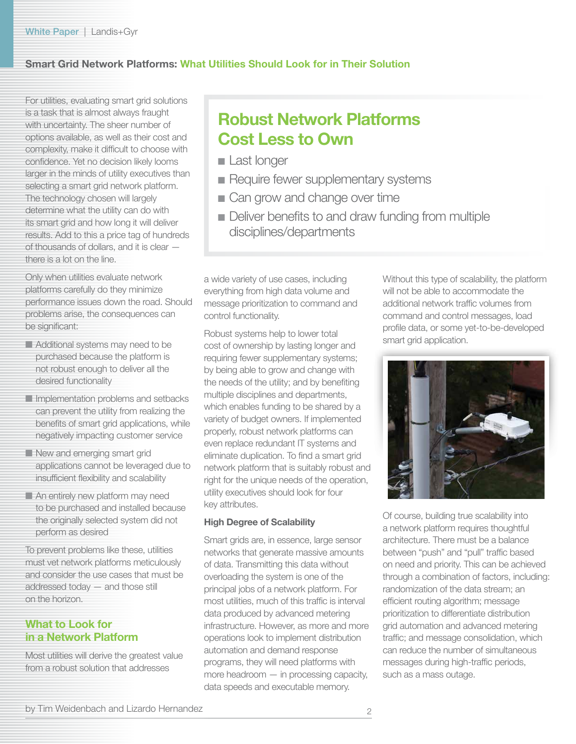# **Smart Grid Network Platforms: What Utilities Should Look for in Their Solution**

For utilities, evaluating smart grid solutions is a task that is almost always fraught with uncertainty. The sheer number of options available, as well as their cost and complexity, make it difficult to choose with confidence. Yet no decision likely looms larger in the minds of utility executives than selecting a smart grid network platform. The technology chosen will largely determine what the utility can do with its smart grid and how long it will deliver results. Add to this a price tag of hundreds of thousands of dollars, and it is clear there is a lot on the line.

Only when utilities evaluate network platforms carefully do they minimize performance issues down the road. Should problems arise, the consequences can be significant:

- Additional systems may need to be purchased because the platform is not robust enough to deliver all the desired functionality
- **Implementation problems and setbacks** can prevent the utility from realizing the benefits of smart grid applications, while negatively impacting customer service
- New and emerging smart grid applications cannot be leveraged due to insufficient flexibility and scalability
- An entirely new platform may need to be purchased and installed because the originally selected system did not perform as desired

To prevent problems like these, utilities must vet network platforms meticulously and consider the use cases that must be addressed today — and those still on the horizon.

### **What to Look for in a Network Platform**

Most utilities will derive the greatest value from a robust solution that addresses

# **Robust Network Platforms Cost Less to Own**

- Last longer
- Require fewer supplementary systems
- Can grow and change over time
- Deliver benefits to and draw funding from multiple disciplines/departments

a wide variety of use cases, including everything from high data volume and message prioritization to command and control functionality.

Robust systems help to lower total cost of ownership by lasting longer and requiring fewer supplementary systems; by being able to grow and change with the needs of the utility; and by benefiting multiple disciplines and departments, which enables funding to be shared by a variety of budget owners. If implemented properly, robust network platforms can even replace redundant IT systems and eliminate duplication. To find a smart grid network platform that is suitably robust and right for the unique needs of the operation, utility executives should look for four key attributes.

#### **High Degree of Scalability**

Smart grids are, in essence, large sensor networks that generate massive amounts of data. Transmitting this data without overloading the system is one of the principal jobs of a network platform. For most utilities, much of this traffic is interval data produced by advanced metering infrastructure. However, as more and more operations look to implement distribution automation and demand response programs, they will need platforms with more headroom — in processing capacity, data speeds and executable memory.

Without this type of scalability, the platform will not be able to accommodate the additional network traffic volumes from command and control messages, load profile data, or some yet-to-be-developed smart grid application.



Of course, building true scalability into a network platform requires thoughtful architecture. There must be a balance between "push" and "pull" traffic based on need and priority. This can be achieved through a combination of factors, including: randomization of the data stream; an efficient routing algorithm; message prioritization to differentiate distribution grid automation and advanced metering traffic; and message consolidation, which can reduce the number of simultaneous messages during high-traffic periods, such as a mass outage.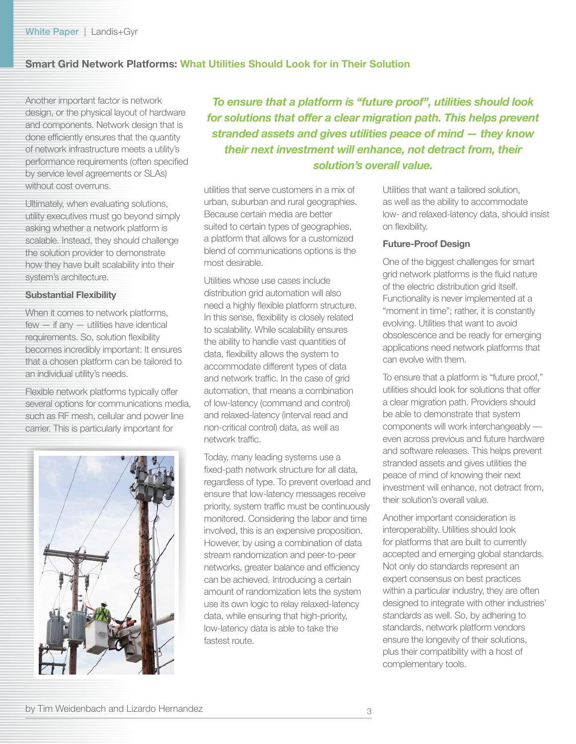# **Smart Grid Network Platforms: What Utilities Should Look for in Their Solution**

Another important factor is network design, or the physical layout of hardware and components. Network design that is done efficiently ensures that the quantity of network infrastructure meets a utility's performance requirements (often specified by service level agreements or SLAs) without cost overruns.

Ultimately, when evaluating solutions, utility executives must go beyond simply asking whether a network platform is scalable. Instead, they should challenge the solution provider to demonstrate how they have built scalability into their system's architecture.

#### **Substantial Flexibility**

When it comes to network platforms, few — if any — utilities have identical requirements. So, solution flexibility becomes incredibly important: It ensures that a chosen platform can be tailored to an individual utility's needs.

Flexible network platforms typically offer several options for communications media, such as RF mesh, cellular and power line carrier. This is particularly important for



*To ensure that a platform is "future proof", utilities should look for solutions that offer a clear migration path. This helps prevent stranded assets and gives utilities peace of mind — they know their next investment will enhance, not detract from, their solution's overall value.*

utilities that serve customers in a mix of urban, suburban and rural geographies. Because certain media are better suited to certain types of geographies, a platform that allows for a customized blend of communications options is the most desirable.

Utilities whose use cases include distribution grid automation will also need a highly flexible platform structure. In this sense, flexibility is closely related to scalability. While scalability ensures the ability to handle vast quantities of data, flexibility allows the system to accommodate different types of data and network traffic. In the case of grid automation, that means a combination of low-latency (command and control) and relaxed-latency (interval read and non-critical control) data, as well as network traffic.

Today, many leading systems use a fixed-path network structure for all data, regardless of type. To prevent overload and ensure that low-latency messages receive priority, system traffic must be continuously monitored. Considering the labor and time involved, this is an expensive proposition. However, by using a combination of data stream randomization and peer-to-peer networks, greater balance and efficiency can be achieved. Introducing a certain amount of randomization lets the system use its own logic to relay relaxed-latency data, while ensuring that high-priority, low-latency data is able to take the fastest route.

Utilities that want a tailored solution, as well as the ability to accommodate low- and relaxed-latency data, should insist on flexibility.

#### **Future-Proof Design**

One of the biggest challenges for smart grid network platforms is the fluid nature of the electric distribution grid itself. Functionality is never implemented at a "moment in time"; rather, it is constantly evolving. Utilities that want to avoid obsolescence and be ready for emerging applications need network platforms that can evolve with them.

To ensure that a platform is "future proof," utilities should look for solutions that offer a clear migration path. Providers should be able to demonstrate that system components will work interchangeably –– even across previous and future hardware and software releases. This helps prevent stranded assets and gives utilities the peace of mind of knowing their next investment will enhance, not detract from, their solution's overall value.

Another important consideration is interoperability. Utilities should look for platforms that are built to currently accepted and emerging global standards. Not only do standards represent an expert consensus on best practices within a particular industry, they are often designed to integrate with other industries' standards as well. So, by adhering to standards, network platform vendors ensure the longevity of their solutions, plus their compatibility with a host of complementary tools.